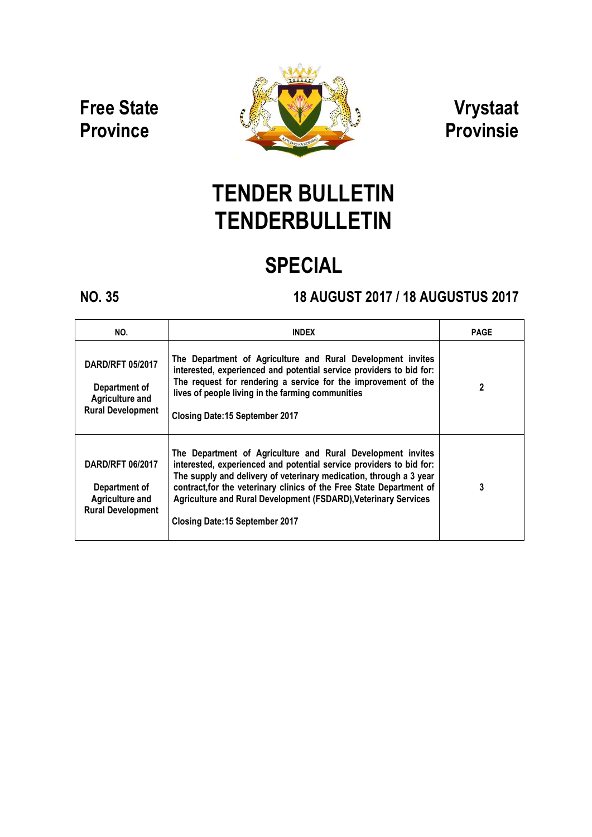### Free State **Province**



### Vrystaat Provinsie

# TENDER BULLETIN **TENDERBULLETIN**

## SPECIAL

### NO. 35 18 AUGUST 2017 / 18 AUGUSTUS 2017

| NO.                                                                                            | <b>INDEX</b>                                                                                                                                                                                                                                                                                                                                                                                        | <b>PAGE</b> |
|------------------------------------------------------------------------------------------------|-----------------------------------------------------------------------------------------------------------------------------------------------------------------------------------------------------------------------------------------------------------------------------------------------------------------------------------------------------------------------------------------------------|-------------|
| <b>DARD/RFT 05/2017</b><br>Department of<br><b>Agriculture and</b><br><b>Rural Development</b> | The Department of Agriculture and Rural Development invites<br>interested, experienced and potential service providers to bid for:<br>The request for rendering a service for the improvement of the<br>lives of people living in the farming communities<br><b>Closing Date:15 September 2017</b>                                                                                                  | 2           |
| <b>DARD/RFT 06/2017</b><br>Department of<br><b>Agriculture and</b><br><b>Rural Development</b> | The Department of Agriculture and Rural Development invites<br>interested, experienced and potential service providers to bid for:<br>The supply and delivery of veterinary medication, through a 3 year<br>contract, for the veterinary clinics of the Free State Department of<br><b>Agriculture and Rural Development (FSDARD), Veterinary Services</b><br><b>Closing Date:15 September 2017</b> | 3           |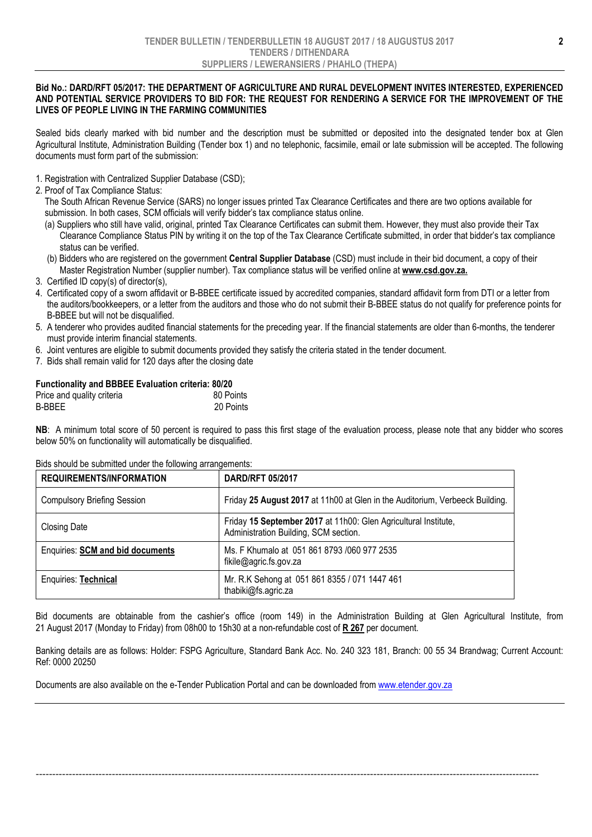#### Bid No.: DARD/RFT 05/2017: THE DEPARTMENT OF AGRICULTURE AND RURAL DEVELOPMENT INVITES INTERESTED, EXPERIENCED AND POTENTIAL SERVICE PROVIDERS TO BID FOR: THE REQUEST FOR RENDERING A SERVICE FOR THE IMPROVEMENT OF THE LIVES OF PEOPLE LIVING IN THE FARMING COMMUNITIES

Sealed bids clearly marked with bid number and the description must be submitted or deposited into the designated tender box at Glen Agricultural Institute, Administration Building (Tender box 1) and no telephonic, facsimile, email or late submission will be accepted. The following documents must form part of the submission:

- 1. Registration with Centralized Supplier Database (CSD);
- 2. Proof of Tax Compliance Status:

 The South African Revenue Service (SARS) no longer issues printed Tax Clearance Certificates and there are two options available for submission. In both cases, SCM officials will verify bidder's tax compliance status online.

- (a) Suppliers who still have valid, original, printed Tax Clearance Certificates can submit them. However, they must also provide their Tax Clearance Compliance Status PIN by writing it on the top of the Tax Clearance Certificate submitted, in order that bidder's tax compliance status can be verified.
- (b) Bidders who are registered on the government Central Supplier Database (CSD) must include in their bid document, a copy of their Master Registration Number (supplier number). Tax compliance status will be verified online at www.csd.gov.za.
- 3. Certified ID copy(s) of director(s),
- 4. Certificated copy of a sworn affidavit or B-BBEE certificate issued by accredited companies, standard affidavit form from DTI or a letter from the auditors/bookkeepers, or a letter from the auditors and those who do not submit their B-BBEE status do not qualify for preference points for B-BBEE but will not be disqualified.
- 5. A tenderer who provides audited financial statements for the preceding year. If the financial statements are older than 6-months, the tenderer must provide interim financial statements.
- 6. Joint ventures are eligible to submit documents provided they satisfy the criteria stated in the tender document.
- 7. Bids shall remain valid for 120 days after the closing date

### Functionality and BBBEE Evaluation criteria: 80/20

| Price and quality criteria | 80 Points |
|----------------------------|-----------|
| B-BBEE                     | 20 Points |

NB: A minimum total score of 50 percent is required to pass this first stage of the evaluation process, please note that any bidder who scores below 50% on functionality will automatically be disqualified.

#### Bids should be submitted under the following arrangements:

| <b>REQUIREMENTS/INFORMATION</b>         | <b>DARD/RFT 05/2017</b>                                                                                  |
|-----------------------------------------|----------------------------------------------------------------------------------------------------------|
| <b>Compulsory Briefing Session</b>      | Friday 25 August 2017 at 11h00 at Glen in the Auditorium, Verbeeck Building.                             |
| <b>Closing Date</b>                     | Friday 15 September 2017 at 11h00: Glen Agricultural Institute,<br>Administration Building, SCM section. |
| <b>Enquiries: SCM and bid documents</b> | Ms. F Khumalo at 051 861 8793 /060 977 2535<br>fikile@agric.fs.gov.za                                    |
| Enquiries: Technical                    | Mr. R.K Sehong at 051 861 8355 / 071 1447 461<br>thabiki@fs.agric.za                                     |

Bid documents are obtainable from the cashier's office (room 149) in the Administration Building at Glen Agricultural Institute, from 21 August 2017 (Monday to Friday) from 08h00 to 15h30 at a non-refundable cost of R 267 per document.

Banking details are as follows: Holder: FSPG Agriculture, Standard Bank Acc. No. 240 323 181, Branch: 00 55 34 Brandwag; Current Account: Ref: 0000 20250

--------------------------------------------------------------------------------------------------------------------------------------------------------

Documents are also available on the e-Tender Publication Portal and can be downloaded from www.etender.gov.za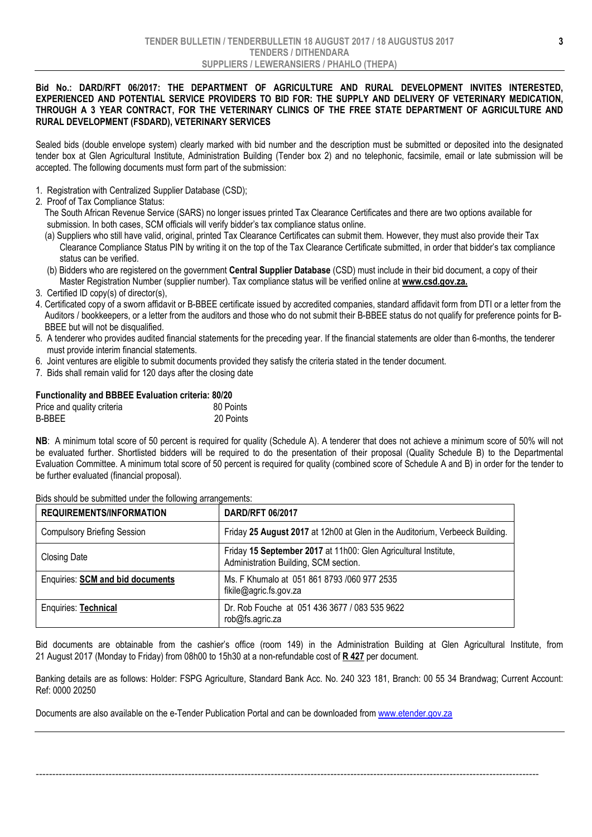#### Bid No.: DARD/RFT 06/2017: THE DEPARTMENT OF AGRICULTURE AND RURAL DEVELOPMENT INVITES INTERESTED, EXPERIENCED AND POTENTIAL SERVICE PROVIDERS TO BID FOR: THE SUPPLY AND DELIVERY OF VETERINARY MEDICATION, THROUGH A 3 YEAR CONTRACT, FOR THE VETERINARY CLINICS OF THE FREE STATE DEPARTMENT OF AGRICULTURE AND RURAL DEVELOPMENT (FSDARD), VETERINARY SERVICES

Sealed bids (double envelope system) clearly marked with bid number and the description must be submitted or deposited into the designated tender box at Glen Agricultural Institute, Administration Building (Tender box 2) and no telephonic, facsimile, email or late submission will be accepted. The following documents must form part of the submission:

- 1. Registration with Centralized Supplier Database (CSD);
- 2. Proof of Tax Compliance Status:

 The South African Revenue Service (SARS) no longer issues printed Tax Clearance Certificates and there are two options available for submission. In both cases, SCM officials will verify bidder's tax compliance status online.

- (a) Suppliers who still have valid, original, printed Tax Clearance Certificates can submit them. However, they must also provide their Tax Clearance Compliance Status PIN by writing it on the top of the Tax Clearance Certificate submitted, in order that bidder's tax compliance status can be verified.
- (b) Bidders who are registered on the government Central Supplier Database (CSD) must include in their bid document, a copy of their Master Registration Number (supplier number). Tax compliance status will be verified online at www.csd.gov.za.
- 3. Certified ID copy(s) of director(s),
- 4. Certificated copy of a sworn affidavit or B-BBEE certificate issued by accredited companies, standard affidavit form from DTI or a letter from the Auditors / bookkeepers, or a letter from the auditors and those who do not submit their B-BBEE status do not qualify for preference points for B- BBEE but will not be disqualified.
- 5. A tenderer who provides audited financial statements for the preceding year. If the financial statements are older than 6-months, the tenderer must provide interim financial statements.
- 6. Joint ventures are eligible to submit documents provided they satisfy the criteria stated in the tender document.
- 7. Bids shall remain valid for 120 days after the closing date

#### Functionality and BBBEE Evaluation criteria: 80/20

| Price and quality criteria | 80 Points |
|----------------------------|-----------|
| B-BBEE                     | 20 Points |

NB: A minimum total score of 50 percent is required for quality (Schedule A). A tenderer that does not achieve a minimum score of 50% will not be evaluated further. Shortlisted bidders will be required to do the presentation of their proposal (Quality Schedule B) to the Departmental Evaluation Committee. A minimum total score of 50 percent is required for quality (combined score of Schedule A and B) in order for the tender to be further evaluated (financial proposal).

| <b>REQUIREMENTS/INFORMATION</b>         | <b>DARD/RFT 06/2017</b>                                                                                  |
|-----------------------------------------|----------------------------------------------------------------------------------------------------------|
| <b>Compulsory Briefing Session</b>      | Friday 25 August 2017 at 12h00 at Glen in the Auditorium, Verbeeck Building.                             |
| <b>Closing Date</b>                     | Friday 15 September 2017 at 11h00: Glen Agricultural Institute,<br>Administration Building, SCM section. |
| <b>Enquiries: SCM and bid documents</b> | Ms. F Khumalo at 051 861 8793 /060 977 2535<br>fikile@agric.fs.gov.za                                    |
| <b>Enquiries: Technical</b>             | Dr. Rob Fouche at 051 436 3677 / 083 535 9622<br>rob@fs.agric.za                                         |

Bids should be submitted under the following arrangements:

Bid documents are obtainable from the cashier's office (room 149) in the Administration Building at Glen Agricultural Institute, from 21 August 2017 (Monday to Friday) from 08h00 to 15h30 at a non-refundable cost of R 427 per document.

Banking details are as follows: Holder: FSPG Agriculture, Standard Bank Acc. No. 240 323 181, Branch: 00 55 34 Brandwag; Current Account: Ref: 0000 20250

--------------------------------------------------------------------------------------------------------------------------------------------------------

Documents are also available on the e-Tender Publication Portal and can be downloaded from www.etender.gov.za